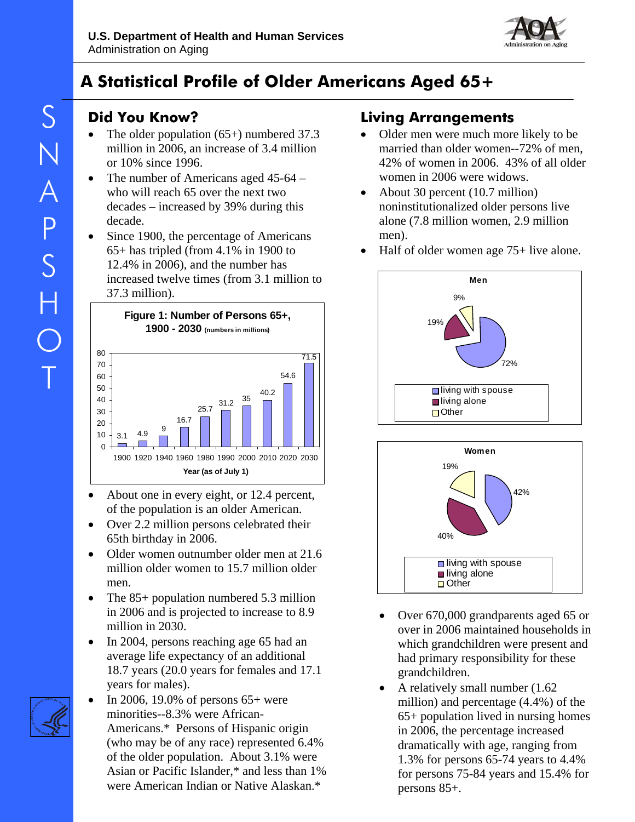

# **A Statistical Profile of Older Americans Aged 65+**

# **Did You Know?**

- The older population  $(65+)$  numbered 37.3 million in 2006, an increase of 3.4 million or 10% since 1996.
- The number of Americans aged 45-64 who will reach 65 over the next two decades – increased by 39% during this decade.
- Since 1900, the percentage of Americans 65+ has tripled (from 4.1% in 1900 to 12.4% in 2006), and the number has increased twelve times (from 3.1 million to 37.3 million).



- About one in every eight, or 12.4 percent, of the population is an older American.
- Over 2.2 million persons celebrated their 65th birthday in 2006.
- Older women outnumber older men at 21.6 million older women to 15.7 million older men.
- The 85+ population numbered 5.3 million in 2006 and is projected to increase to 8.9 million in 2030.
- In 2004, persons reaching age 65 had an average life expectancy of an additional 18.7 years (20.0 years for females and 17.1 years for males).



• In 2006, 19.0% of persons 65+ were minorities--8.3% were African-Americans.\* Persons of Hispanic origin (who may be of any race) represented 6.4% of the older population. About 3.1% were Asian or Pacific Islander,\* and less than 1% were American Indian or Native Alaskan.\*

# **Living Arrangements**

- Older men were much more likely to be married than older women--72% of men, 42% of women in 2006. 43% of all older women in 2006 were widows.
- About 30 percent (10.7 million) noninstitutionalized older persons live alone (7.8 million women, 2.9 million men).
- Half of older women age 75+ live alone.





- Over 670,000 grandparents aged 65 or over in 2006 maintained households in which grandchildren were present and had primary responsibility for these grandchildren.
- A relatively small number (1.62 million) and percentage (4.4%) of the 65+ population lived in nursing homes in 2006, the percentage increased dramatically with age, ranging from 1.3% for persons 65-74 years to 4.4% for persons 75-84 years and 15.4% for persons 85+.